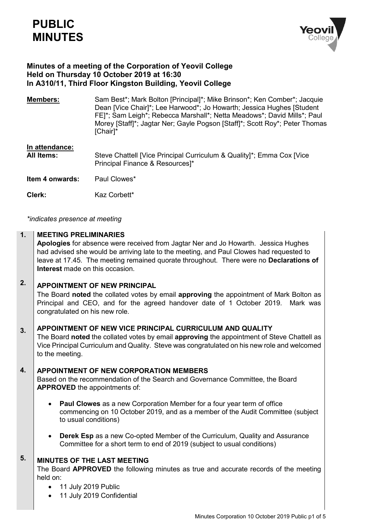# **PUBLIC MINUTES**



### **Minutes of a meeting of the Corporation of Yeovil College Held on Thursday 10 October 2019 at 16:30 In A310/11, Third Floor Kingston Building, Yeovil College**

**Members:** Sam Best\*; Mark Bolton [Principal]\*; Mike Brinson\*; Ken Comber\*; Jacquie Dean [Vice Chair]\*; Lee Harwood\*; Jo Howarth; Jessica Hughes [Student FE]\*; Sam Leigh\*; Rebecca Marshall\*; Netta Meadows\*; David Mills\*; Paul Morey [Staff]\*; Jagtar Ner; Gayle Pogson [Staff]\*; Scott Roy\*; Peter Thomas [Chair]\*

# **In attendance: All Items:** Steve Chattell [Vice Principal Curriculum & Quality]\*; Emma Cox [Vice Principal Finance & Resources]\*

**Item 4 onwards:** Paul Clowes\*

**Clerk:** Kaz Corbett\*

*\*indicates presence at meeting*

#### **1. MEETING PRELIMINARIES**

**Apologies** for absence were received from Jagtar Ner and Jo Howarth. Jessica Hughes had advised she would be arriving late to the meeting, and Paul Clowes had requested to leave at 17.45. The meeting remained quorate throughout. There were no **Declarations of Interest** made on this occasion.

### **2. APPOINTMENT OF NEW PRINCIPAL**

The Board **noted** the collated votes by email **approving** the appointment of Mark Bolton as Principal and CEO, and for the agreed handover date of 1 October 2019. Mark was congratulated on his new role.

#### **3. APPOINTMENT OF NEW VICE PRINCIPAL CURRICULUM AND QUALITY**

The Board **noted** the collated votes by email **approving** the appointment of Steve Chattell as Vice Principal Curriculum and Quality. Steve was congratulated on his new role and welcomed to the meeting.

#### **4. APPOINTMENT OF NEW CORPORATION MEMBERS**

Based on the recommendation of the Search and Governance Committee, the Board **APPROVED** the appointments of:

- **Paul Clowes** as a new Corporation Member for a four year term of office commencing on 10 October 2019, and as a member of the Audit Committee (subject to usual conditions)
- **Derek Esp** as a new Co-opted Member of the Curriculum, Quality and Assurance Committee for a short term to end of 2019 (subject to usual conditions)

### **5. MINUTES OF THE LAST MEETING**

The Board **APPROVED** the following minutes as true and accurate records of the meeting held on:

- 11 July 2019 Public
- 11 July 2019 Confidential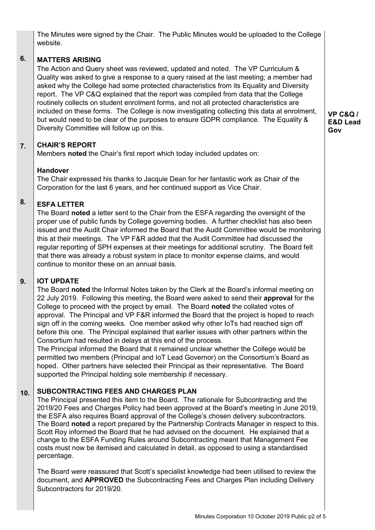The Minutes were signed by the Chair. The Public Minutes would be uploaded to the College website.

#### **6. MATTERS ARISING**

The Action and Query sheet was reviewed, updated and noted. The VP Curriculum & Quality was asked to give a response to a query raised at the last meeting; a member had asked why the College had some protected characteristics from its Equality and Diversity report. The VP C&Q explained that the report was compiled from data that the College routinely collects on student enrolment forms, and not all protected characteristics are included on these forms. The College is now investigating collecting this data at enrolment, but would need to be clear of the purposes to ensure GDPR compliance. The Equality & Diversity Committee will follow up on this.

#### **7. CHAIR'S REPORT**

Members **noted** the Chair's first report which today included updates on:

### **Handover**

The Chair expressed his thanks to Jacquie Dean for her fantastic work as Chair of the Corporation for the last 6 years, and her continued support as Vice Chair.

### **8. ESFA LETTER**

The Board **noted** a letter sent to the Chair from the ESFA regarding the oversight of the proper use of public funds by College governing bodies. A further checklist has also been issued and the Audit Chair informed the Board that the Audit Committee would be monitoring this at their meetings. The VP F&R added that the Audit Committee had discussed the regular reporting of SPH expenses at their meetings for additional scrutiny. The Board felt that there was already a robust system in place to monitor expense claims, and would continue to monitor these on an annual basis.

#### **9. IOT UPDATE**

The Board **noted** the Informal Notes taken by the Clerk at the Board's informal meeting on 22 July 2019. Following this meeting, the Board were asked to send their **approval** for the College to proceed with the project by email. The Board **noted** the collated votes of approval. The Principal and VP F&R informed the Board that the project is hoped to reach sign off in the coming weeks. One member asked why other IoTs had reached sign off before this one. The Principal explained that earlier issues with other partners within the Consortium had resulted in delays at this end of the process.

The Principal informed the Board that it remained unclear whether the College would be permitted two members (Principal and IoT Lead Governor) on the Consortium's Board as hoped. Other partners have selected their Principal as their representative. The Board supported the Principal holding sole membership if necessary.

#### **10. SUBCONTRACTING FEES AND CHARGES PLAN**

The Principal presented this item to the Board. The rationale for Subcontracting and the 2019/20 Fees and Charges Policy had been approved at the Board's meeting in June 2019, the ESFA also requires Board approval of the College's chosen delivery subcontractors. The Board **noted** a report prepared by the Partnership Contracts Manager in respect to this. Scott Roy informed the Board that he had advised on the document. He explained that a change to the ESFA Funding Rules around Subcontracting meant that Management Fee costs must now be itemised and calculated in detail, as opposed to using a standardised percentage.

The Board were reassured that Scott's specialist knowledge had been utilised to review the document, and **APPROVED** the Subcontracting Fees and Charges Plan including Delivery Subcontractors for 2019/20.

**VP C&Q / E&D Lead Gov**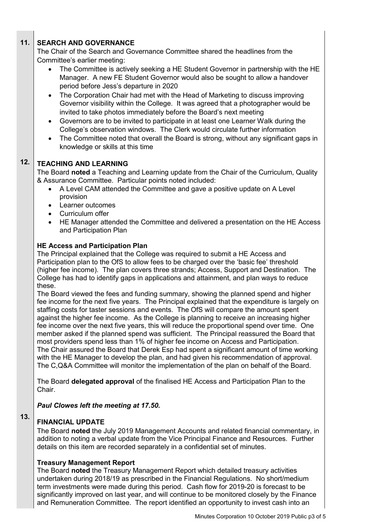#### **11. SEARCH AND GOVERNANCE**

The Chair of the Search and Governance Committee shared the headlines from the Committee's earlier meeting:

- The Committee is actively seeking a HE Student Governor in partnership with the HE Manager. A new FE Student Governor would also be sought to allow a handover period before Jess's departure in 2020
- The Corporation Chair had met with the Head of Marketing to discuss improving Governor visibility within the College. It was agreed that a photographer would be invited to take photos immediately before the Board's next meeting
- Governors are to be invited to participate in at least one Learner Walk during the College's observation windows. The Clerk would circulate further information
- The Committee noted that overall the Board is strong, without any significant gaps in knowledge or skills at this time

### **12. TEACHING AND LEARNING**

The Board **noted** a Teaching and Learning update from the Chair of the Curriculum, Quality & Assurance Committee. Particular points noted included:

- A Level CAM attended the Committee and gave a positive update on A Level provision
- Learner outcomes
- Curriculum offer
- HE Manager attended the Committee and delivered a presentation on the HE Access and Participation Plan

# **HE Access and Participation Plan**

The Principal explained that the College was required to submit a HE Access and Participation plan to the OfS to allow fees to be charged over the 'basic fee' threshold (higher fee income). The plan covers three strands; Access, Support and Destination. The College has had to identify gaps in applications and attainment, and plan ways to reduce these.

The Board viewed the fees and funding summary, showing the planned spend and higher fee income for the next five years. The Principal explained that the expenditure is largely on staffing costs for taster sessions and events. The OfS will compare the amount spent against the higher fee income. As the College is planning to receive an increasing higher fee income over the next five years, this will reduce the proportional spend over time. One member asked if the planned spend was sufficient. The Principal reassured the Board that most providers spend less than 1% of higher fee income on Access and Participation. The Chair assured the Board that Derek Esp had spent a significant amount of time working with the HE Manager to develop the plan, and had given his recommendation of approval. The C,Q&A Committee will monitor the implementation of the plan on behalf of the Board.

The Board **delegated approval** of the finalised HE Access and Participation Plan to the Chair.

### *Paul Clowes left the meeting at 17.50.*

### **13.**

# **FINANCIAL UPDATE**

The Board **noted** the July 2019 Management Accounts and related financial commentary, in addition to noting a verbal update from the Vice Principal Finance and Resources. Further details on this item are recorded separately in a confidential set of minutes.

# **Treasury Management Report**

The Board **noted** the Treasury Management Report which detailed treasury activities undertaken during 2018/19 as prescribed in the Financial Regulations. No short/medium term investments were made during this period. Cash flow for 2019-20 is forecast to be significantly improved on last year, and will continue to be monitored closely by the Finance and Remuneration Committee. The report identified an opportunity to invest cash into an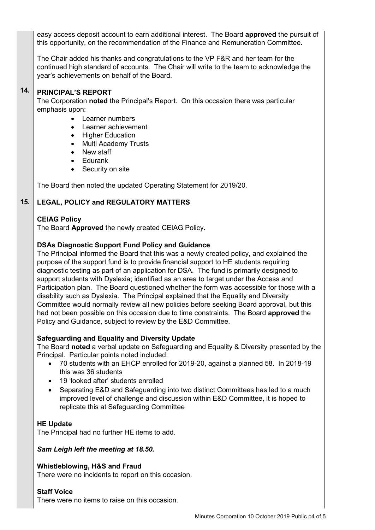easy access deposit account to earn additional interest. The Board **approved** the pursuit of this opportunity, on the recommendation of the Finance and Remuneration Committee.

The Chair added his thanks and congratulations to the VP F&R and her team for the continued high standard of accounts. The Chair will write to the team to acknowledge the year's achievements on behalf of the Board.

#### **14. PRINCIPAL'S REPORT**

The Corporation **noted** the Principal's Report. On this occasion there was particular emphasis upon:

- Learner numbers
- Learner achievement
- Higher Education
- Multi Academy Trusts
- New staff
- Edurank
- Security on site

The Board then noted the updated Operating Statement for 2019/20.

#### **15. LEGAL, POLICY and REGULATORY MATTERS**

### **CEIAG Policy**

The Board **Approved** the newly created CEIAG Policy.

### **DSAs Diagnostic Support Fund Policy and Guidance**

The Principal informed the Board that this was a newly created policy, and explained the purpose of the support fund is to provide financial support to HE students requiring diagnostic testing as part of an application for DSA. The fund is primarily designed to support students with Dyslexia; identified as an area to target under the Access and Participation plan. The Board questioned whether the form was accessible for those with a disability such as Dyslexia. The Principal explained that the Equality and Diversity Committee would normally review all new policies before seeking Board approval, but this had not been possible on this occasion due to time constraints. The Board **approved** the Policy and Guidance, subject to review by the E&D Committee.

### **Safeguarding and Equality and Diversity Update**

The Board **noted** a verbal update on Safeguarding and Equality & Diversity presented by the Principal. Particular points noted included:

- 70 students with an EHCP enrolled for 2019-20, against a planned 58. In 2018-19 this was 36 students
- 19 'looked after' students enrolled
- Separating E&D and Safeguarding into two distinct Committees has led to a much improved level of challenge and discussion within E&D Committee, it is hoped to replicate this at Safeguarding Committee

### **HE Update**

The Principal had no further HE items to add.

### *Sam Leigh left the meeting at 18.50.*

### **Whistleblowing, H&S and Fraud**

There were no incidents to report on this occasion.

### **Staff Voice**

There were no items to raise on this occasion.